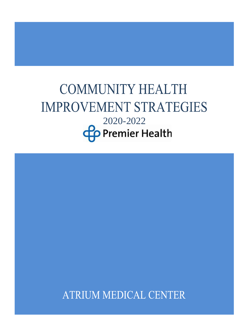# **COMMUNITY HEALTH IMPROVEMENT STRATEGIES**  $2020-2022$

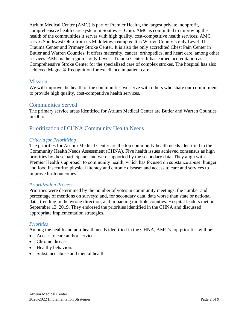Atrium Medical Center (AMC) is part of Premier Health, the largest private, nonprofit, comprehensive health care system in Southwest Ohio. AMC is committed to improving the health of the communities it serves with high quality, cost-competitive health services. AMC serves Southwest Ohio from its Middletown campus. It is Warren County's only [Level III](https://www.premierhealth.com/services/emergency-and-trauma/trauma-services/atrium-medical-center)  [Trauma Center](https://www.premierhealth.com/services/emergency-and-trauma/trauma-services/atrium-medical-center) and [Primary Stroke Center.](https://www.premierhealth.com/services/neuroscience/stroke) It is also the only accredited Chest Pain Center in Butler and Warren Counties. It offers maternity, cancer, orthopedics, and heart care, among other services. AMC is the region's only Level I Trauma Center. It has earned accreditation as a Comprehensive Stroke Center for the specialized care of complex strokes. The hospital has also achieved Magnet® Recognition for excellence in patient care.

# **Mission**

We will improve the health of the communities we serve with others who share our commitment to provide high quality, cost-competitive health services.

# Communities Served

The primary service areas identified for Atrium Medical Center are Butler and Warren Counties in Ohio.

# Prioritization of CHNA Community Health Needs

## *Criteria for Prioritizing*

The priorities for Atrium Medical Center are the top community health needs identified in the Community Health Needs Assessment (CHNA). Five health issues achieved consensus as high priorities by these participants and were supported by the secondary data. They align with Premier Health's approach to community health, which has focused on substance abuse; hunger and food insecurity; physical literacy and chronic disease; and access to care and services to improve birth outcomes.

## *Prioritization Process*

Priorities were determined by the number of votes in community meetings; the number and percentage of mentions on surveys; and, for secondary data, data worse than state or national data, trending in the wrong direction, and impacting multiple counties. Hospital leaders met on September 13, 2019. They endorsed the priorities identified in the CHNA and discussed appropriate implementation strategies.

#### *Priorities*

Among the health and non-health needs identified in the CHNA, AMC's top priorities will be:

- Access to care and/or services
- Chronic disease
- Healthy behaviors
- Substance abuse and mental health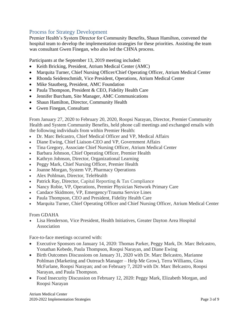# Process for Strategy Development

Premier Health's System Director for Community Benefits, Shaun Hamilton, convened the hospital team to develop the implementation strategies for these priorities. Assisting the team was consultant Gwen Finegan, who also led the CHNA process.

Participants at the September 13, 2019 meeting included:

- Keith Bricking, President, Atrium Medical Center (AMC)
- Marquita Turner, Chief Nursing Officer/Chief Operating Officer, Atrium Medical Center
- Rhonda Seidenschmidt, Vice President, Operations, Atrium Medical Center
- Mike Stautberg, President, AMC Foundation
- Paula Thompson, President & CEO, Fidelity Health Care
- Jennifer Burcham, Site Manager, AMC Communications
- Shaun Hamilton, Director, Community Health
- Gwen Finegan, Consultant

From January 27, 2020 to February 20, 2020, Roopsi Narayan, Director, Premier Community Health and System Community Benefits, held phone call meetings and exchanged emails with the following individuals from within Premier Health:

- Dr. Marc Belcastro, Chief Medical Officer and VP, Medical Affairs
- Diane Ewing, Chief Liaison-CEO and VP, Government Affairs
- Tina Gregory, Associate Chief Nursing Officer, Atrium Medical Center
- Barbara Johnson, Chief Operating Officer, Premier Health
- Kathryn Johnson, Director, Organizational Learning
- Peggy Mark, Chief Nursing Officer, Premier Health
- Joanne Morgan, System VP, Pharmacy Operations
- Alex Pohlman, Director, TeleHealth
- Patrick Ray, Director, Capital Reporting & Tax Compliance
- Nancy Robie, VP, Operations, Premier Physician Network Primary Care
- Candace Skidmore, VP, Emergency/Trauma Service Lines
- Paula Thompson, CEO and President, Fidelity Health Care
- Marquita Turner, Chief Operating Officer and Chief Nursing Officer, Atrium Medical Center

#### From GDAHA

• Lisa Henderson, Vice President, Health Initiatives, Greater Dayton Area Hospital Association

Face-to-face meetings occurred with:

- Executive Sponsors on January 14, 2020: Thomas Parker, Peggy Mark, Dr. Marc Belcastro, Yonathan Kebede, Paula Thompson, Roopsi Narayan, and Diane Ewing
- Birth Outcomes Discussions on January 31, 2020 with Dr. Marc Belcastro, Marianne Pohlman (Marketing and Outreach Manager – Help Me Grow), Terra Williams, Gina McFarlane, Roopsi Narayan; and on February 7, 2020 with Dr. Marc Belcastro, Roopsi Narayan, and Paula Thompson.
- Food Insecurity Discussion on February 12, 2020: Peggy Mark, Elizabeth Morgan, and Roopsi Narayan

Atrium Medical Center 2020-2022 Implementation Strategies Page 3 of 9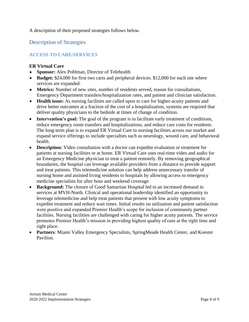A description of their proposed strategies follows below.

Description of Strategies

# **ACCESS TO CARE/SERVICES**

## **ER Virtual Care**

- **Sponsor:** Alex Pohlman, Director of Telehealth
- **Budget:** \$24,000 for first two carts and peripheral devices. \$12,000 for each site where services are expanded.
- **Metrics:** Number of new sites, number of residents served, reason for consultations, Emergency Department transfers/hospitalization rates, and patient and clinician satisfaction.
- **Health issue:** As nursing facilities are called upon to care for higher-acuity patients and drive better outcomes at a fraction of the cost of a hospitalization, systems are required that deliver quality physicians to the bedside at times of change of condition.
- **Intervention's goal:** The goal of the program is to facilitate early treatment of conditions, reduce emergency room transfers and hospitalizations, and reduce care costs for residents. The long-term plan is to expand ER Virtual Care to nursing facilities across our market and expand service offerings to include specialties such as neurology, wound care, and behavioral health.
- **Description:** Video consultation with a doctor can expedite evaluation or treatment for patients at nursing facilities or at home. ER Virtual Care uses real-time video and audio for an Emergency Medicine physician to treat a patient remotely. By removing geographical boundaries, the hospital can leverage available providers from a distance to provide support and treat patients. This telemedicine solution can help address unnecessary transfer of nursing home and assisted living residents to hospitals by allowing access to emergency medicine specialists for after hour and weekend coverage.
- **Background:** The closure of Good Samaritan Hospital led to an increased demand in services at MVH-North. Clinical and operational leadership identified an opportunity to leverage telemedicine and help treat patients that present with low acuity symptoms to expedite treatment and reduce wait times. Initial results on utilization and patient satisfaction were positive and expanded Premier Health's scope for inclusion of community partner facilities. Nursing facilities are challenged with caring for higher acuity patients. The service promotes Premier Health's mission in providing highest quality of care at the right time and right place.
- **Partners**: Miami Valley Emergency Specialists, SpringMeade Health Center, and Koester Pavilion.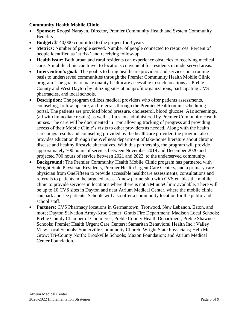## **Community Health Mobile Clinic**

- **Sponsor:** Roopsi Narayan, Director, Premier Community Health and System Community **Benefits**
- **Budget:** \$140,000 committed to the project for 3 years
- **Metrics:** Number of people served. Number of people connected to resources. Percent of people identified as 'at risk' and receiving follow-up.
- **Health issue:** Both urban and rural residents can experience obstacles to receiving medical care. A mobile clinic can travel to locations convenient for residents in underserved areas.
- **Intervention's goal:** The goal is to bring healthcare providers and services on a routine basis to underserved communities through the Premier Community Health Mobile Clinic program. The goal is to make quality healthcare accessible to such locations as Preble County and West Dayton by utilizing sites at nonprofit organizations, participating CVS pharmacies, and local schools.
- **Description:** The program utilizes medical providers who offer patients assessments, counseling, follow-up care, and referrals through the Premier Health online scheduling portal. The patients are provided blood pressure, cholesterol, blood glucose, A1c screenings, (all with immediate results) as well as flu shots administered by Premier Community Health nurses. The care will be documented in Epic allowing tracking of progress and providing access of their Mobile Clinic's visits to other providers as needed. Along with the health screenings results and counseling provided by the healthcare provider, the program also provides education through the Wellness department of take-home literature about chronic disease and healthy lifestyle alternatives. With this partnership, the program will provide approximately 700 hours of service, between November 2019 and December 2020 and projected 700 hours of service between 2021 and 2022, to the underserved community.
- **Background:** The Premier Community Health Mobile Clinic program has partnered with Wright State Physician Residents, Premier Health Urgent Care Centers, and a primary care physician from OneFifteen to provide accessible healthcare assessments, consultations and referrals to patients in the targeted areas. A new partnership with CVS enables the mobile clinic to provide services in locations where there is not a MinuteClinic available. There will be up to 10 CVS sites in Dayton and near Atrium Medical Center, where the mobile clinic can park and see patients. Schools will also offer a community location for the public and school staff.
- **Partners:** CVS Pharmacy locations in Germantown, Trotwood, New Lebanon, Eaton, and more; Dayton Salvation Army-Kroc Center; Gratis Fire Department; Madison Local Schools; Preble County Chamber of Commerce; Preble County Health Department; Preble Shawnee Schools; Premier Health Urgent Care Centers; Samaritan Behavioral Health Inc.; Valley View Local Schools; Somerville Community Church; Wright State Physicians; Help Me Grow; Tri-County North; Brookville Schools; Maxon Foundation; and Atrium Medical Center Foundation.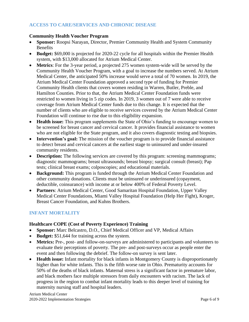# **ACCESS TO CARE/SERVICES AND CHRONIC DISEASE**

#### **Community Health Voucher Program**

- **Sponsor:** Roopsi Narayan, Director, Premier Community Health and System Community **Benefits**
- **Budget:** \$69,000 is projected for 2020-22 cycle for all hospitals within the Premier Health system, with \$13,000 allocated for Atrium Medical Center.
- **Metrics**: For the 3-year period, a projected 275 women system-wide will be served by the Community Health Voucher Program, with a goal to increase the numbers served. At Atrium Medical Center, the anticipated 50% increase would serve a total of 70 women. In 2019, the Atrium Medical Center Foundation approved a second type of funding for Premier Community Health clients that covers women residing in Warren, Butler, Preble, and Hamilton Counties. Prior to that, the Atrium Medical Center Foundation funds were restricted to women living in 5 zip codes. In 2019, 3 women out of 7 were able to receive coverage from Atrium Medical Center funds due to this change. It is expected that the number of clients who are eligible to receive services covered by the Atrium Medical Center Foundation will continue to rise due to this eligibility expansion.
- **Health issue:** This program supplements the State of Ohio's funding to encourage women to be screened for breast cancer and cervical cancer. It provides financial assistance to women who are not eligible for the State program, and it also covers diagnostic testing and biopsies.
- **Intervention's goal:** The mission of the voucher program is to provide financial assistance to detect breast and cervical cancers at the earliest stage to uninsured and under-insured community residents.
- **Description:** The following services are covered by this program: screening mammograms; diagnostic mammograms; breast ultrasounds; breast biopsy; surgical consult (breast); Pap tests; clinical breast exams; colposcopies; and educational materials.
- **Background:** This program is funded through the Atrium Medical Center Foundation and other community donations. Clients must be uninsured or underinsured (copayment, deductible, coinsurance) with income at or below 400% of Federal Poverty Level.
- **Partners**: Atrium Medical Center, Good Samaritan Hospital Foundation, Upper Valley Medical Center Foundations, Miami Valley Hospital Foundation (Help Her Fight), Kroger, Breast Cancer Foundation, and Kuhns Brothers.

# **INFANT MORTALITY**

#### **Healthcare COPE (Cost of Poverty Experience) Training**

- **Sponsor:** Marc Belcastro, D.O., Chief Medical Officer and VP, Medical Affairs
- **Budget:** \$51,644 for training across the system.
- **Metrics:** Pre-, post- and follow-on-surveys are administered to participants and volunteers to evaluate their perceptions of poverty. The pre- and post-surveys occur as people enter the event and then following the debrief. The follow-on survey is sent later.
- **Health issue:** Infant mortality for black infants in Montgomery County is disproportionately higher than for white infants. This is the fifth worse rate in Ohio. Prematurity accounts for 50% of the deaths of black infants. Maternal stress is a significant factor in premature labor, and black mothers face multiple stressors from daily encounters with racism. The lack of progress in the region to combat infant mortality leads to this deeper level of training for maternity nursing staff and hospital leaders.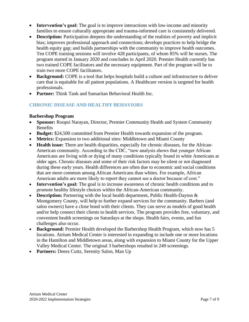- **Intervention's goal:** The goal is to improve interactions with low-income and minority families to ensure culturally appropriate and trauma-informed care is consistently delivered.
- **Description:** Participation deepens the understanding of the realities of poverty and implicit bias; improves professional approach and connections; develops practices to help bridge the health equity gap; and builds partnerships with the community to improve health outcomes. Ten COPE training sessions will involve 428 participants, of whom 85% will be nurses. The program started in January 2020 and concludes in April 2020. Premier Health currently has two trained COPE facilitators and the necessary equipment. Part of the program will be to train two more COPE facilitators.
- **Background:** COPE is a tool that helps hospitals build a culture and infrastructure to deliver care that is equitable for all patient populations. A Healthcare version is targeted for health professionals.
- **Partner:** Think Tank and Samaritan Behavioral Health Inc.

## **CHRONIC DISEASE AND HEALTHY BEHAVIORS**

#### **Barbershop Program**

- **Sponsor:** Roopsi Narayan, Director, Premier Community Health and System Community Benefits
- **Budget:** \$24,500 committed from Premier Health towards expansion of the program.
- **Metrics:** Expansion to two additional sites: Middletown and Miami County
- **Health issue:** There are health disparities, especially for chronic diseases, for the African-American community. According to the CDC, "new analysis shows that younger African Americans are living with or dying of many conditions typically found in white Americans at older ages. Chronic diseases and some of their risk factors may be silent or not diagnosed during these early years. Health differences are often due to economic and social conditions that are more common among African Americans than whites. For example, African American adults are more likely to report they cannot see a doctor because of cost."
- **Intervention's goal:** The goal is to increase awareness of chronic health conditions and to promote healthy lifestyle choices within the African-American community.
- **Description:** Partnering with the local health department, Public Health-Dayton & Montgomery County, will help to further expand services for the community. Barbers (and salon owners) have a close bond with their clients. They can serve as models of good health and/or help connect their clients to health services. The program provides free, voluntary, and convenient health screenings on Saturdays at the shops. Health fairs, events, and fun challenges also occur.
- **Background:** Premier Health developed the Barbershop Health Program, which now has 5 locations. Atrium Medical Center is interested in expanding to include one or more locations in the Hamilton and Middletown areas, along with expansion to Miami County for the Upper Valley Medical Center. The original 3 barbershops resulted in 249 screenings.
- **Partners:** Deeez Cuttz, Serenity Salon, Man Up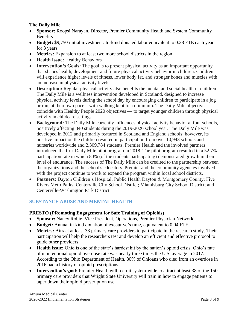## **The Daily Mile**

- **Sponsor:** Roopsi Narayan, Director, Premier Community Health and System Community **Benefits**
- **Budget:** \$9,750 initial investment. In-kind donated labor equivalent to 0.28 FTE each year for 3 years.
- **Metrics:** Expansion to at least two more school districts in the region
- **Health Issue:** Healthy Behaviors
- **Intervention's Goals:** The goal is to present physical activity as an important opportunity that shapes health, development and future physical activity behavior in children. Children will experience higher levels of fitness, lower body fat, and stronger bones and muscles with an increase in physical activity levels.
- **Description:** Regular physical activity also benefits the mental and social health of children. The Daily Mile is a wellness intervention developed in Scotland, designed to increase physical activity levels during the school day by encouraging children to participate in a jog or run, at their own pace – with walking kept to a minimum. The Daily Mile objectives coincide with Healthy People 2020 objectives — to target younger children through physical activity in childcare settings.
- **Background:** The Daily Mile currently influences physical activity behavior at four schools, positively affecting 340 students during the 2019-2020 school year. The Daily Mile was developed in 2012 and primarily featured in Scotland and England schools; however, its positive impact on the children resulted in participation from over 10,943 schools and nurseries worldwide and 2,309,784 students. Premier Health and the involved partners introduced the first Daily Mile pilot program in 2018. The pilot program resulted in a 52.7% participation rate in which 80% (of the students participating) demonstrated growth in their level of endurance. The success of The Daily Mile can be credited to the partnership between the organizations and the school's educators. Premier and the community agencies involved with the project continue to work to expand the program within local school districts.
- **Partners:** Dayton Children's Hospital; Public Health Dayton & Montgomery County; Five Rivers MetroParks; Centerville City School District; Miamisburg City School District; and Centerville-Washington Park District

# **SUBSTANCE ABUSE AND MENTAL HEALTH**

#### **PRESTO (PRomoting Engagement for Safe Training of Opioids)**

- **Sponsor:** Nancy Robie, Vice President, Operations, Premier Physician Network
- **Budget:** Annual in-kind donation of executive's time, equivalent to 0.04 FTE
- **Metrics:** Attract at least 38 primary care providers to participate in the research study. Their participation will help the researchers test and develop an efficient and effective protocol to guide other providers
- **Health issue:** Ohio is one of the state's hardest hit by the nation's opioid crisis. Ohio's rate of unintentional opioid overdose rate was nearly three times the U.S. average in 2017. According to the Ohio Department of Health, 80% of Ohioans who died from an overdose in 2016 had a history of opioid prescriptions.
- **Intervention's goal:** Premier Health will recruit system-wide to attract at least 38 of the 150 primary care providers that Wright State University will train in how to engage patients to taper down their opioid prescription use.